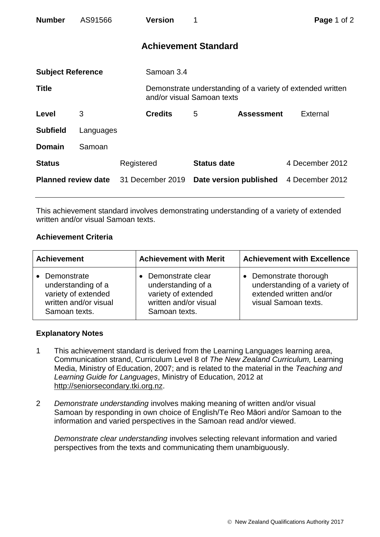| <b>Number</b>              | AS91566   |                  | <b>Version</b>              |                            |                        | Page 1 of 2                                                |  |
|----------------------------|-----------|------------------|-----------------------------|----------------------------|------------------------|------------------------------------------------------------|--|
|                            |           |                  | <b>Achievement Standard</b> |                            |                        |                                                            |  |
| <b>Subject Reference</b>   |           |                  | Samoan 3.4                  |                            |                        |                                                            |  |
| <b>Title</b>               |           |                  |                             | and/or visual Samoan texts |                        | Demonstrate understanding of a variety of extended written |  |
| Level                      | 3         |                  | <b>Credits</b>              | 5                          | <b>Assessment</b>      | External                                                   |  |
| <b>Subfield</b>            | Languages |                  |                             |                            |                        |                                                            |  |
| <b>Domain</b>              | Samoan    |                  |                             |                            |                        |                                                            |  |
| <b>Status</b>              |           | Registered       |                             | <b>Status date</b>         |                        | 4 December 2012                                            |  |
| <b>Planned review date</b> |           | 31 December 2019 |                             |                            | Date version published | 4 December 2012                                            |  |

This achievement standard involves demonstrating understanding of a variety of extended written and/or visual Samoan texts.

## **Achievement Criteria**

| <b>Achievement</b>    | <b>Achievement with Merit</b> | <b>Achievement with Excellence</b> |
|-----------------------|-------------------------------|------------------------------------|
| • Demonstrate         | Demonstrate clear             | Demonstrate thorough               |
| understanding of a    | understanding of a            | $\bullet$                          |
| variety of extended   | variety of extended           | understanding of a variety of      |
| written and/or visual | written and/or visual         | extended written and/or            |
| Samoan texts.         | Samoan texts.                 | visual Samoan texts.               |

## **Explanatory Notes**

- 1 This achievement standard is derived from the Learning Languages learning area, Communication strand, Curriculum Level 8 of *The New Zealand Curriculum,* Learning Media, Ministry of Education, 2007; and is related to the material in the *Teaching and Learning Guide for Languages*, Ministry of Education, 2012 at [http://seniorsecondary.tki.org.nz.](http://seniorsecondary.tki.org.nz/)
- 2 *Demonstrate understanding* involves making meaning of written and/or visual Samoan by responding in own choice of English/Te Reo Māori and/or Samoan to the information and varied perspectives in the Samoan read and/or viewed.

*Demonstrate clear understanding* involves selecting relevant information and varied perspectives from the texts and communicating them unambiguously.